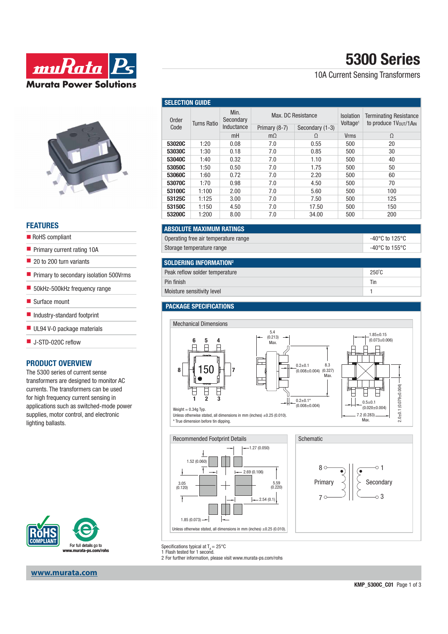

### **FEATURES**

- RoHS compliant
- **Primary current rating 10A**
- 20 to 200 turn variants
- **Primary to secondary isolation 500Vrms**
- 50kHz-500kHz frequency range
- Surface mount
- Industry-standard footprint
- UL94 V-0 package materials
- J-STD-020C reflow

### **PRODUCT OVERVIEW**

The 5300 series of current sense transformers are designed to monitor AC currents. The transformers can be used for high frequency current sensing in applications such as switched-mode power supplies, motor control, and electronic lighting ballasts.



### **www.murata.com**

| 5300 Series |
|-------------|
|-------------|

10A Current Sensing Transformers

| <b>SELECTION GUIDE</b> |             |                                 |                                                        |       |                                          |                                                        |  |  |
|------------------------|-------------|---------------------------------|--------------------------------------------------------|-------|------------------------------------------|--------------------------------------------------------|--|--|
| Order<br>Code          | Turns Ratio | Min.<br>Secondary<br>Inductance | Max. DC Resistance<br>Secondary (1-3)<br>Primary (8-7) |       | <b>Isolation</b><br>Voltage <sup>1</sup> | <b>Terminating Resistance</b><br>to produce 1Vout/1AIN |  |  |
|                        |             | mH                              | $m\Omega$                                              | Ω     | <b>Vrms</b>                              | $\Omega$                                               |  |  |
| 53020C                 | 1:20        | 0.08                            | 7.0                                                    | 0.55  | 500                                      | 20                                                     |  |  |
| 53030C                 | 1:30        | 0.18                            | 7.0                                                    | 0.85  | 500                                      | 30                                                     |  |  |
| 53040C                 | 1:40        | 0.32                            | 7.0                                                    | 1.10  | 500                                      | 40                                                     |  |  |
| 53050C                 | 1:50        | 0.50                            | 7.0                                                    | 1.75  | 500                                      | 50                                                     |  |  |
| 53060C                 | 1:60        | 0.72                            | 7.0                                                    | 2.20  | 500                                      | 60                                                     |  |  |
| 53070C                 | 1:70        | 0.98                            | 7.0                                                    | 4.50  | 500                                      | 70                                                     |  |  |
| 53100C                 | 1:100       | 2.00                            | 7.0                                                    | 5.60  | 500                                      | 100                                                    |  |  |
| 53125C                 | 1:125       | 3.00                            | 7.0                                                    | 7.50  | 500                                      | 125                                                    |  |  |
| 53150C                 | 1:150       | 4.50                            | 7.0                                                    | 17.50 | 500                                      | 150                                                    |  |  |
| 53200C                 | 1:200       | 8.00                            | 7.0                                                    | 34.00 | 500                                      | 200                                                    |  |  |

### **ABSOLUTE MAXIMUM RATINGS** Operating free air temperature range -40°C to 125°C to 125°C. The 125°C to 125°C to 125°C to 125°C to 125°C to 125°C to 125°C to 125°C to 125°C to 125°C to 125°C to 125°C to 125°C to 125°C to 125°C to 125°C to 125°C to 125

Storage temperature range  $\sim$  155°C

|  | 40°C to 125°C  |
|--|----------------|
|  | $10001 - 1000$ |

| SOLDERING INFORMATION <sup>2</sup> |                 |
|------------------------------------|-----------------|
| Peak reflow solder temperature     | $250^{\circ}$ C |
| Pin finish                         | Tin             |
| Moisture sensitivity level         |                 |

### **PACKAGE SPECIFICATIONS**



Unless otherwise stated, all dimensions in mm (inches) ±0.25 (0.010). \* True dimension before tin dipping.





Max.

Specifications typical at  $T_A = 25^{\circ}C$ <br>1 Flash tested for 1 second.

2 For further information, please visit www.murata-ps.com/rohs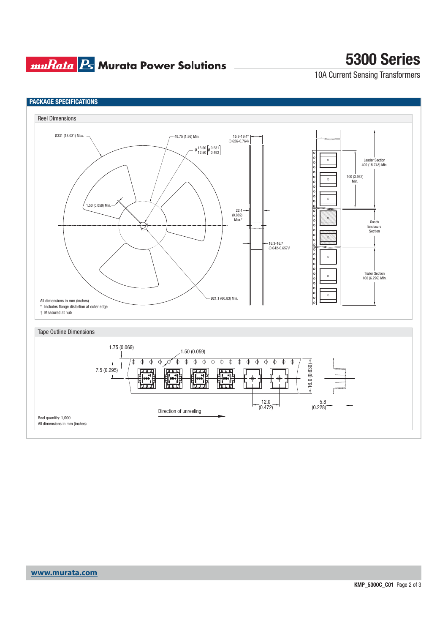### **muRata Ps** Murata Power Solutions

# **5300 Series**

10A Current Sensing Transformers